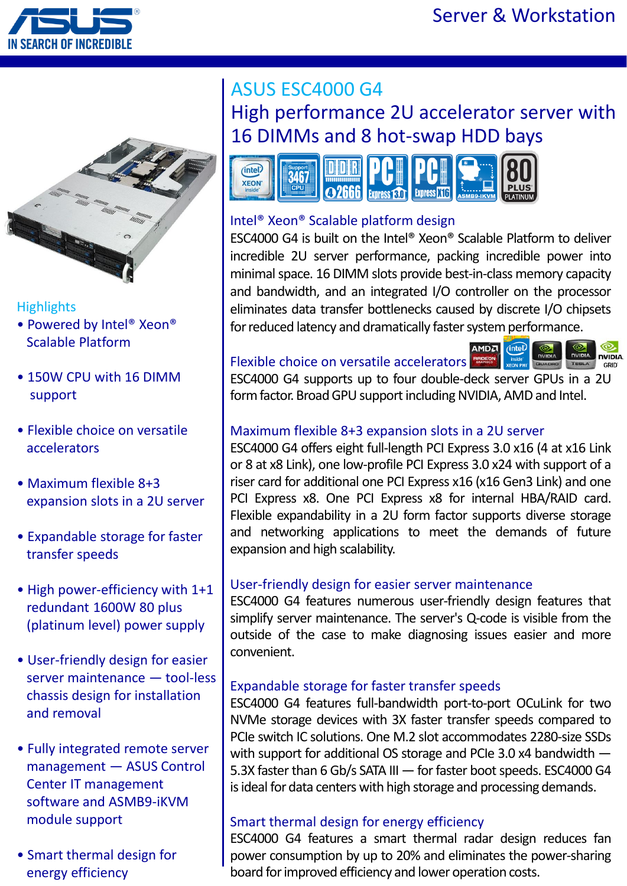



### **Highlights**

- Powered by Intel® Xeon® Scalable Platform
- 150W CPU with 16 DIMM support
- Flexible choice on versatile accelerators
- Maximum flexible 8+3 expansion slots in a 2U server
- Expandable storage for faster transfer speeds
- High power-efficiency with 1+1 redundant 1600W 80 plus (platinum level) power supply
- User-friendly design for easier server maintenance — tool-less chassis design for installation and removal
- Fully integrated remote server management — ASUS Control Center IT management software and ASMB9-iKVM module support
- Smart thermal design for energy efficiency

# ASUS ESC4000 G4 High performance 2U accelerator server with 16 DIMMs and 8 hot-swap HDD bays



## Intel® Xeon® Scalable platform design

ESC4000 G4 is built on the Intel® Xeon® Scalable Platform to deliver incredible 2U server performance, packing incredible power into minimal space. 16 DIMM slots provide best-in-class memory capacity and bandwidth, and an integrated I/O controller on the processor eliminates data transfer bottlenecks caused by discrete I/O chipsets for reduced latency and dramatically faster system performance.

## Flexible choice on versatile accelerators reset



ESC4000 G4 supports up to four double-deck server GPUs in a 2U form factor. Broad GPU support including NVIDIA, AMD and Intel.

## Maximum flexible 8+3 expansion slots in a 2U server

ESC4000 G4 offers eight full-length PCI Express 3.0 x16 (4 at x16 Link or 8 at x8 Link), one low-profile PCI Express 3.0 x24 with support of a riser card for additional one PCI Express x16 (x16 Gen3 Link) and one PCI Express x8. One PCI Express x8 for internal HBA/RAID card. Flexible expandability in a 2U form factor supports diverse storage and networking applications to meet the demands of future expansion and high scalability.

### User-friendly design for easier server maintenance

ESC4000 G4 features numerous user-friendly design features that simplify server maintenance. The server's Q-code is visible from the outside of the case to make diagnosing issues easier and more convenient.

### Expandable storage for faster transfer speeds

ESC4000 G4 features full-bandwidth port-to-port OCuLink for two NVMe storage devices with 3X faster transfer speeds compared to PCIe switch IC solutions. One M.2 slot accommodates 2280-size SSDs with support for additional OS storage and PCIe 3.0 x4 bandwidth — 5.3X faster than 6 Gb/s SATA III — for faster boot speeds. ESC4000 G4 is ideal for data centers with high storage and processing demands.

### Smart thermal design for energy efficiency

ESC4000 G4 features a smart thermal radar design reduces fan power consumption by up to 20% and eliminates the power-sharing board for improved efficiency and lower operation costs.